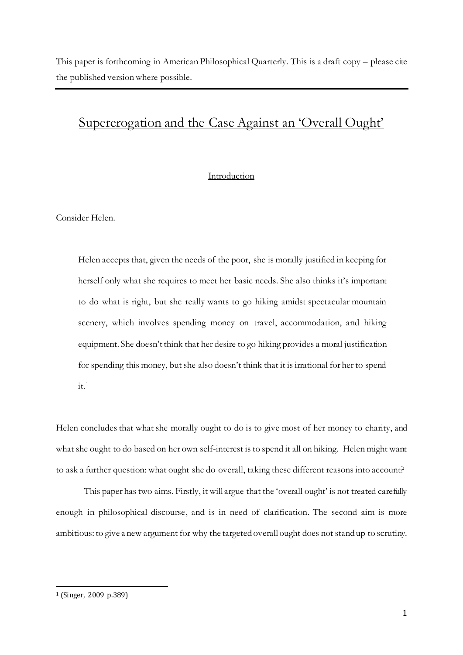This paper is forthcoming in American Philosophical Quarterly. This is a draft copy – please cite the published version where possible.

# Supererogation and the Case Against an 'Overall Ought'

## Introduction

Consider Helen.

Helen accepts that, given the needs of the poor, she is morally justified in keeping for herself only what she requires to meet her basic needs. She also thinks it's important to do what is right, but she really wants to go hiking amidst spectacular mountain scenery, which involves spending money on travel, accommodation, and hiking equipment. She doesn't think that her desire to go hiking provides a moral justification for spending this money, but she also doesn't think that it is irrational for her to spend  $it.<sup>1</sup>$ 

Helen concludes that what she morally ought to do is to give most of her money to charity, and what she ought to do based on her own self-interest is to spend it all on hiking. Helen might want to ask a further question: what ought she do overall, taking these different reasons into account?

This paper has two aims. Firstly, it will argue that the 'overall ought' is not treated carefully enough in philosophical discourse, and is in need of clarification. The second aim is more ambitious: to give a new argument for why the targeted overall ought does not stand up to scrutiny.

<sup>1</sup> (Singer, 2009 p.389)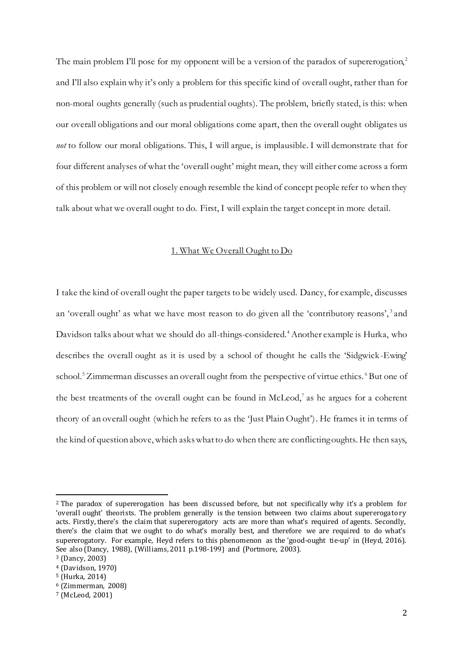The main problem I'll pose for my opponent will be a version of the paradox of supererogation,<sup>2</sup> and I'll also explain why it's only a problem for this specific kind of overall ought, rather than for non-moral oughts generally (such as prudential oughts). The problem, briefly stated, is this: when our overall obligations and our moral obligations come apart, then the overall ought obligates us *not* to follow our moral obligations. This, I will argue, is implausible. I will demonstrate that for four different analyses of what the 'overall ought' might mean, they will either come across a form of this problem or will not closely enough resemble the kind of concept people refer to when they talk about what we overall ought to do. First, I will explain the target concept in more detail.

## 1. What We Overall Ought to Do

I take the kind of overall ought the paper targets to be widely used. Dancy, for example, discusses an 'overall ought' as what we have most reason to do given all the 'contributory reasons', 3 and Davidson talks about what we should do all-things-considered.<sup>4</sup> Another example is Hurka, who describes the overall ought as it is used by a school of thought he calls the 'Sidgwick -Ewing' school.<sup>5</sup> Zimmerman discusses an overall ought from the perspective of virtue ethics.<sup>6</sup> But one of the best treatments of the overall ought can be found in McLeod,<sup>7</sup> as he argues for a coherent theory of an overall ought (which he refers to as the 'Just Plain Ought'). He frames it in terms of the kind of question above, which askswhat to do when there are conflicting oughts. He then says,

<sup>2</sup> The paradox of supererogation has been discussed before, but not specifically why it's a problem for 'overall ought' theorists. The problem generally is the tension between two claims about supererogatory acts. Firstly, there's the claim that supererogatory acts are more than what's required of agents. Secondly, there's the claim that we ought to do what's morally best, and therefore we are required to do what's supererogatory. For example, Heyd refers to this phenomenon as the 'good-ought tie-up' in (Heyd, 2016). See also (Dancy, 1988), (Williams, 2011 p.198-199) and (Portmore, 2003).

<sup>3</sup> (Dancy, 2003)

<sup>4</sup> (Davidson, 1970)

<sup>5</sup> (Hurka, 2014)

<sup>6</sup> (Zimmerman, 2008)

<sup>7</sup> (McLeod, 2001)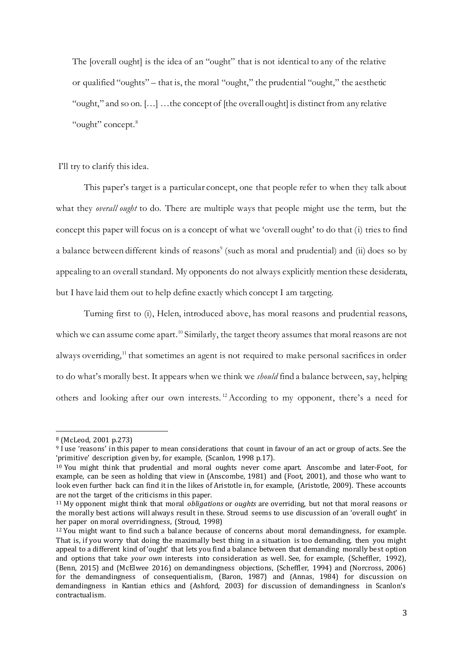The [overall ought] is the idea of an "ought" that is not identical to any of the relative or qualified "oughts" – that is, the moral "ought," the prudential "ought," the aesthetic "ought," and so on. […] …the concept of [the overall ought] is distinct from any relative "ought" concept.<sup>8</sup>

I'll try to clarify this idea.

This paper's target is a particular concept, one that people refer to when they talk about what they *overall ought* to do. There are multiple ways that people might use the term, but the concept this paper will focus on is a concept of what we 'overall ought' to do that (i) tries to find a balance between different kinds of reasons<sup>9</sup> (such as moral and prudential) and (ii) does so by appealing to an overall standard. My opponents do not always explicitly mention these desiderata, but I have laid them out to help define exactly which concept I am targeting.

Turning first to (i), Helen, introduced above, has moral reasons and prudential reasons, which we can assume come apart.<sup>10</sup> Similarly, the target theory assumes that moral reasons are not always overriding,<sup>11</sup> that sometimes an agent is not required to make personal sacrifices in order to do what's morally best. It appears when we think we *should* find a balance between, say, helping others and looking after our own interests. <sup>12</sup> According to my opponent, there's a need for

<sup>8</sup> (McLeod, 2001 p.273)

<sup>9</sup> I use 'reasons' in this paper to mean considerations that count in favour of an act or group of acts. See the 'primitive' description given by, for example, (Scanlon, 1998 p.17).

<sup>10</sup> You might think that prudential and moral oughts never come apart. Anscombe and later-Foot, for example, can be seen as holding that view in (Anscombe, 1981) and (Foot, 2001), and those who want to look even further back can find it in the likes of Aristotle in, for example, (Aristotle, 2009). These accounts are not the target of the criticisms in this paper.

<sup>11</sup> My opponent might think that moral *obligations* or *oughts* are overriding, but not that moral reasons or the morally best actions will always result in these. Stroud seems to use discussion of an 'overall ought' in her paper on moral overridingness, (Stroud, 1998)

<sup>12</sup> You might want to find such a balance because of concerns about moral demandingness, for example. That is, if you worry that doing the maximally best thing in a situation is too demanding, then you might appeal to a different kind of 'ought' that lets you find a balance between that demanding morally best option and options that take *your own* interests into consideration as well. See, for example, (Scheffler, 1992), (Benn, 2015) and (McElwee 2016) on demandingness objections, (Scheffler, 1994) and (Norcross, 2006) for the demandingness of consequentialism, (Baron, 1987) and (Annas, 1984) for discussion on demandingness in Kantian ethics and (Ashford, 2003) for discussion of demandingness in Scanlon's contractualism.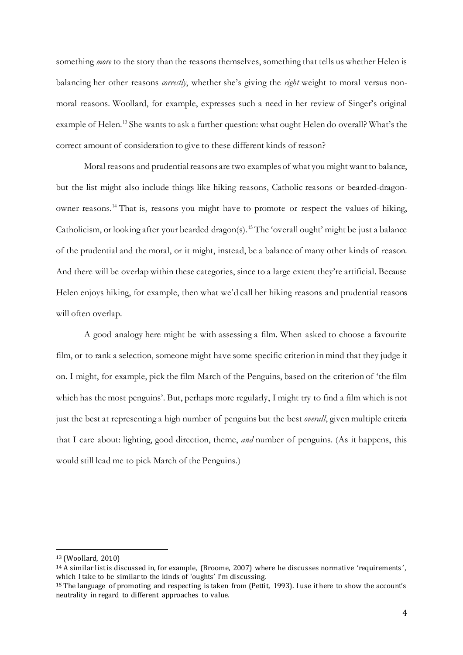something *more* to the story than the reasons themselves, something that tells us whether Helen is balancing her other reasons *correctly*, whether she's giving the *right* weight to moral versus nonmoral reasons. Woollard, for example, expresses such a need in her review of Singer's original example of Helen.<sup>13</sup> She wants to ask a further question: what ought Helen do overall? What's the correct amount of consideration to give to these different kinds of reason?

Moral reasons and prudential reasons are two examples of what you might want to balance, but the list might also include things like hiking reasons, Catholic reasons or bearded-dragonowner reasons. <sup>14</sup> That is, reasons you might have to promote or respect the values of hiking, Catholicism, or looking after your bearded dragon(s).<sup>15</sup> The 'overall ought' might be just a balance of the prudential and the moral, or it might, instead, be a balance of many other kinds of reason. And there will be overlap within these categories, since to a large extent they're artificial. Because Helen enjoys hiking, for example, then what we'd call her hiking reasons and prudential reasons will often overlap.

A good analogy here might be with assessing a film. When asked to choose a favourite film, or to rank a selection, someone might have some specific criterion in mind that they judge it on. I might, for example, pick the film March of the Penguins, based on the criterion of 'the film which has the most penguins'. But, perhaps more regularly, I might try to find a film which is not just the best at representing a high number of penguins but the best *overall*, given multiple criteria that I care about: lighting, good direction, theme, *and* number of penguins. (As it happens, this would still lead me to pick March of the Penguins.)

<sup>13</sup> (Woollard, 2010)

<sup>&</sup>lt;sup>14</sup> A similar list is discussed in, for example, (Broome, 2007) where he discusses normative 'requirements', which I take to be similar to the kinds of 'oughts' I'm discussing.

<sup>15</sup> The language of promoting and respecting is taken from (Pettit, 1993). I use it here to show the account's neutrality in regard to different approaches to value.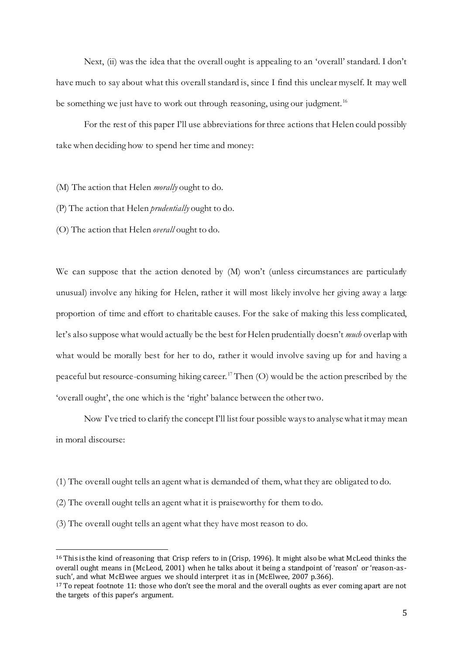Next, (ii) was the idea that the overall ought is appealing to an 'overall' standard. I don't have much to say about what this overall standard is, since I find this unclear myself. It may well be something we just have to work out through reasoning, using our judgment.<sup>16</sup>

For the rest of this paper I'll use abbreviations for three actions that Helen could possibly take when deciding how to spend her time and money:

(M) The action that Helen *morally* ought to do.

(P) The action that Helen *prudentially* ought to do.

(O) The action that Helen *overall* ought to do.

We can suppose that the action denoted by (M) won't (unless circumstances are particularly unusual) involve any hiking for Helen, rather it will most likely involve her giving away a large proportion of time and effort to charitable causes. For the sake of making this less complicated, let's also suppose what would actually be the best for Helen prudentially doesn't *much* overlap with what would be morally best for her to do, rather it would involve saving up for and having a peaceful but resource-consuming hiking career.<sup>17</sup> Then (O) would be the action prescribed by the 'overall ought', the one which is the 'right' balance between the other two.

Now I've tried to clarify the concept I'll list four possible ways to analyse what it may mean in moral discourse:

- (1) The overall ought tells an agent what is demanded of them, what they are obligated to do.
- (2) The overall ought tells an agent what it is praiseworthy for them to do.
- (3) The overall ought tells an agent what they have most reason to do.

<sup>16</sup> This is the kind of reasoning that Crisp refers to in (Crisp, 1996). It might also be what McLeod thinks the overall ought means in (McLeod, 2001) when he talks about it being a standpoint of 'reason' or 'reason-as such', and what McElwee argues we should interpret it as in (McElwee, 2007 p.366).

<sup>&</sup>lt;sup>17</sup> To repeat footnote 11: those who don't see the moral and the overall oughts as ever coming apart are not the targets of this paper's argument.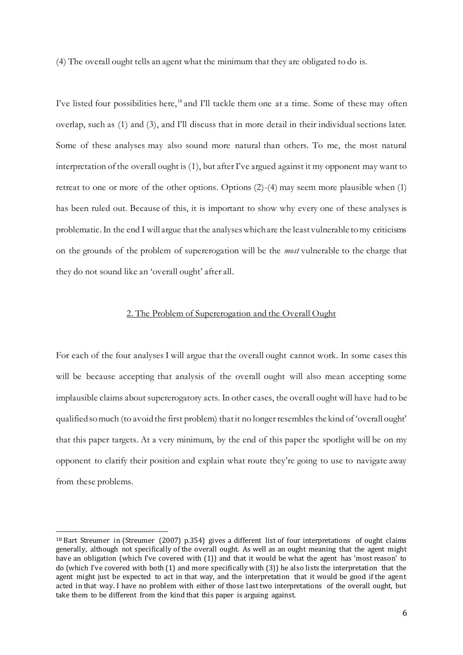(4) The overall ought tells an agent what the minimum that they are obligated to do is.

I've listed four possibilities here,<sup>18</sup> and I'll tackle them one at a time. Some of these may often overlap, such as (1) and (3), and I'll discuss that in more detail in their individual sections later. Some of these analyses may also sound more natural than others. To me, the most natural interpretation of the overall ought is (1), but after I've argued against it my opponent may want to retreat to one or more of the other options. Options (2)-(4) may seem more plausible when (1) has been ruled out. Because of this, it is important to show why every one of these analyses is problematic. In the end I will argue that the analyses which are the least vulnerable to my criticisms on the grounds of the problem of supererogation will be the *most* vulnerable to the charge that they do not sound like an 'overall ought' after all.

## 2. The Problem of Supererogation and the Overall Ought

For each of the four analyses I will argue that the overall ought cannot work. In some cases this will be because accepting that analysis of the overall ought will also mean accepting some implausible claims about supererogatory acts. In other cases, the overall ought will have had to be qualified so much (to avoid the first problem) that it no longer resembles the kind of 'overall ought' that this paper targets. At a very minimum, by the end of this paper the spotlight will be on my opponent to clarify their position and explain what route they're going to use to navigate away from these problems.

<sup>18</sup> Bart Streumer in (Streumer (2007) p.354) gives a different list of four interpretations of ought claims generally, although not specifically of the overall ought. As well as an ought meaning that the agent might have an obligation (which I've covered with (1)) and that it would be what the agent has 'most reason' to do (which I've covered with both (1) and more specifically with (3)) he also lists the interpretation that the agent might just be expected to act in that way, and the interpretation that it would be good if the agent acted in that way. I have no problem with either of those last two interpretations of the overall ought, but take them to be different from the kind that this paper is arguing against.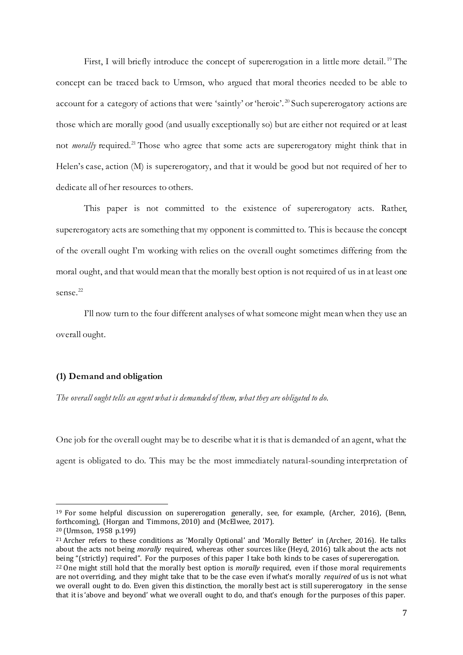First, I will briefly introduce the concept of supererogation in a little more detail.<sup>19</sup> The concept can be traced back to Urmson, who argued that moral theories needed to be able to account for a category of actions that were 'saintly' or 'heroic'.<sup>20</sup> Such supererogatory actions are those which are morally good (and usually exceptionally so) but are either not required or at least not *morally* required.<sup>21</sup> Those who agree that some acts are supererogatory might think that in Helen's case, action (M) is supererogatory, and that it would be good but not required of her to dedicate all of her resources to others.

This paper is not committed to the existence of supererogatory acts. Rather, supererogatory acts are something that my opponent is committed to. This is because the concept of the overall ought I'm working with relies on the overall ought sometimes differing from the moral ought, and that would mean that the morally best option is not required of us in at least one sense.<sup>22</sup>

I'll now turn to the four different analyses of what someone might mean when they use an overall ought.

#### **(1) Demand and obligation**

*The overall ought tells an agent what is demanded of them, what they are obligated to do.* 

One job for the overall ought may be to describe what it is that is demanded of an agent, what the agent is obligated to do. This may be the most immediately natural-sounding interpretation of

<sup>&</sup>lt;sup>19</sup> For some helpful discussion on supererogation generally, see, for example, (Archer, 2016), (Benn, forthcoming), (Horgan and Timmons, 2010) and (McElwee, 2017).

<sup>20</sup> (Urmson, 1958 p.199)

<sup>21</sup> Archer refers to these conditions as 'Morally Optional' and 'Morally Better' in (Archer, 2016). He talks about the acts not being *morally* required, whereas other sources like (Heyd, 2016) talk about the acts not being "(strictly) required". For the purposes of this paper I take both kinds to be cases of supererogation. <sup>22</sup> One might still hold that the morally best option is *morally* required, even if those moral requirements are not overriding, and they might take that to be the case even if what's morally *required* of us is not what we overall ought to do. Even given this distinction, the morally best act is still supererogatory in the sense that it is 'above and beyond' what we overall ought to do, and that's enough for the purposes of this paper.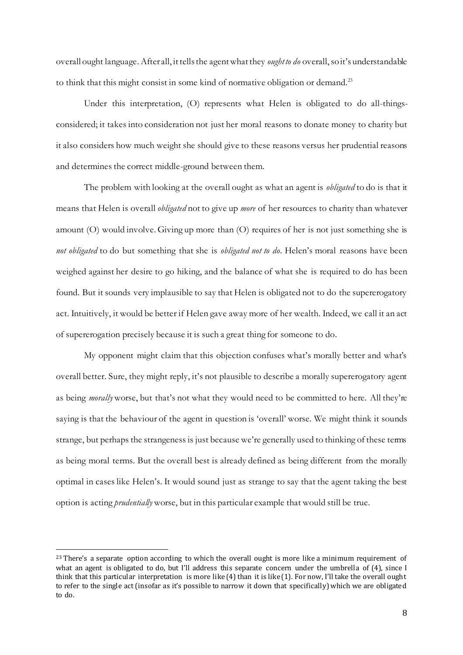overall ought language.After all, it tells the agent what they *ought to do* overall,so it's understandable to think that this might consist in some kind of normative obligation or demand.<sup>23</sup>

Under this interpretation, (O) represents what Helen is obligated to do all-thingsconsidered; it takes into consideration not just her moral reasons to donate money to charity but it also considers how much weight she should give to these reasons versus her prudential reasons and determines the correct middle-ground between them.

The problem with looking at the overall ought as what an agent is *obligated* to do is that it means that Helen is overall *obligated* not to give up *more* of her resources to charity than whatever amount (O) would involve. Giving up more than (O) requires of her is not just something she is *not obligated* to do but something that she is *obligated not to do*. Helen's moral reasons have been weighed against her desire to go hiking, and the balance of what she is required to do has been found. But it sounds very implausible to say that Helen is obligated not to do the supererogatory act. Intuitively, it would be better if Helen gave away more of her wealth. Indeed, we call it an act of supererogation precisely because it is such a great thing for someone to do.

My opponent might claim that this objection confuses what's morally better and what's overall better. Sure, they might reply, it's not plausible to describe a morally supererogatory agent as being *morally* worse, but that's not what they would need to be committed to here. All they're saying is that the behaviour of the agent in question is 'overall' worse. We might think it sounds strange, but perhaps the strangeness is just because we're generally used to thinking of these terms as being moral terms. But the overall best is already defined as being different from the morally optimal in cases like Helen's. It would sound just as strange to say that the agent taking the best option is acting *prudentially* worse, but in this particular example that would still be true.

<sup>&</sup>lt;sup>23</sup> There's a separate option according to which the overall ought is more like a minimum requirement of what an agent is obligated to do, but I'll address this separate concern under the umbrella of (4), since I think that this particular interpretation is more like (4) than it is like (1). For now, I'll take the overall ought to refer to the single act (insofar as it's possible to narrow it down that specifically) which we are obligated to do.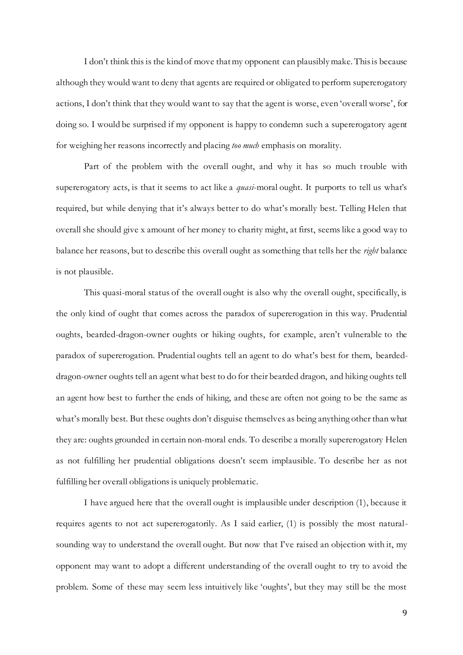I don't think this is the kind of move that my opponent can plausiblymake. This is because although they would want to deny that agents are required or obligated to perform supererogatory actions, I don't think that they would want to say that the agent is worse, even 'overall worse', for doing so. I would be surprised if my opponent is happy to condemn such a supererogatory agent for weighing her reasons incorrectly and placing *too much* emphasis on morality.

Part of the problem with the overall ought, and why it has so much trouble with supererogatory acts, is that it seems to act like a *quasi*-moral ought. It purports to tell us what's required, but while denying that it's always better to do what's morally best. Telling Helen that overall she should give x amount of her money to charity might, at first, seems like a good way to balance her reasons, but to describe this overall ought as something that tells her the *right* balance is not plausible.

This quasi-moral status of the overall ought is also why the overall ought, specifically, is the only kind of ought that comes across the paradox of supererogation in this way. Prudential oughts, bearded-dragon-owner oughts or hiking oughts, for example, aren't vulnerable to the paradox of supererogation. Prudential oughts tell an agent to do what's best for them, beardeddragon-owner oughts tell an agent what best to do for their bearded dragon, and hiking oughts tell an agent how best to further the ends of hiking, and these are often not going to be the same as what's morally best. But these oughts don't disguise themselves as being anything other than what they are: oughts grounded in certain non-moral ends. To describe a morally supererogatory Helen as not fulfilling her prudential obligations doesn't seem implausible. To describe her as not fulfilling her overall obligations is uniquely problematic.

I have argued here that the overall ought is implausible under description (1), because it requires agents to not act supererogatorily. As I said earlier, (1) is possibly the most naturalsounding way to understand the overall ought. But now that I've raised an objection with it, my opponent may want to adopt a different understanding of the overall ought to try to avoid the problem. Some of these may seem less intuitively like 'oughts', but they may still be the most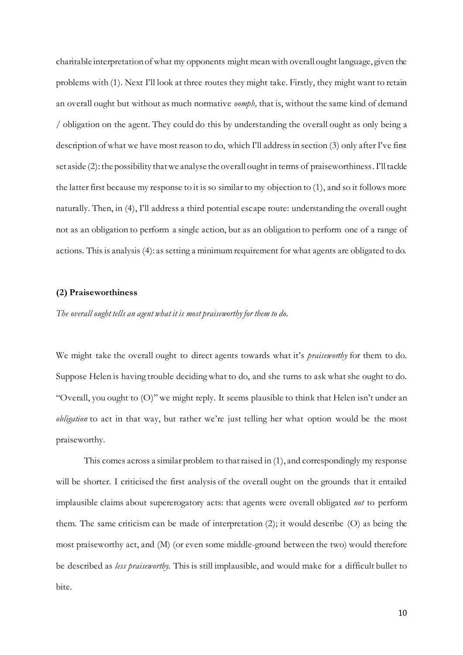charitable interpretation of what my opponents might mean with overall ought language, given the problems with (1). Next I'll look at three routes they might take. Firstly, they might want to retain an overall ought but without as much normative *oomph,* that is, without the same kind of demand / obligation on the agent. They could do this by understanding the overall ought as only being a description of what we have most reason to do, which I'll address in section (3) only after I've first set aside (2): the possibility that we analyse the overall ought in terms of praiseworthiness. I'll tackle the latter first because my response to it is so similar to my objection to (1), and so it follows more naturally. Then, in (4), I'll address a third potential escape route: understanding the overall ought not as an obligation to perform a single action, but as an obligation to perform one of a range of actions. This is analysis (4): as setting a minimum requirement for what agents are obligated to do.

#### **(2) Praiseworthiness**

*The overall ought tells an agent what it is most praiseworthy for them to do.*

We might take the overall ought to direct agents towards what it's *praiseworthy* for them to do. Suppose Helen is having trouble deciding what to do, and she turns to ask what she ought to do. "Overall, you ought to (O)" we might reply. It seems plausible to think that Helen isn't under an *obligation* to act in that way, but rather we're just telling her what option would be the most praiseworthy.

This comes across a similar problem to thatraised in (1), and correspondingly my response will be shorter. I criticised the first analysis of the overall ought on the grounds that it entailed implausible claims about supererogatory acts: that agents were overall obligated *not* to perform them. The same criticism can be made of interpretation (2); it would describe (O) as being the most praiseworthy act, and (M) (or even some middle-ground between the two) would therefore be described as *less praiseworthy.* This is still implausible, and would make for a difficult bullet to bite.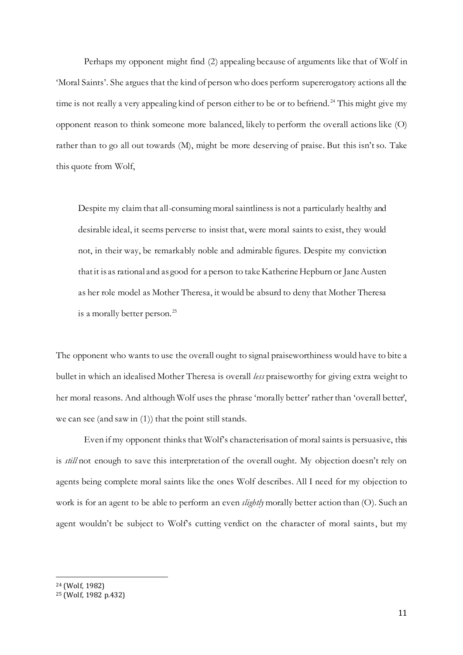Perhaps my opponent might find (2) appealing because of arguments like that of Wolf in 'Moral Saints'. She argues that the kind of person who does perform supererogatory actions all the time is not really a very appealing kind of person either to be or to befriend.<sup>24</sup> This might give my opponent reason to think someone more balanced, likely to perform the overall actions like (O) rather than to go all out towards (M), might be more deserving of praise. But this isn't so. Take this quote from Wolf,

Despite my claim that all-consuming moral saintliness is not a particularly healthy and desirable ideal, it seems perverse to insist that, were moral saints to exist, they would not, in their way, be remarkably noble and admirable figures. Despite my conviction that it is as rational and as good for a person to take Katherine Hepburn or Jane Austen as her role model as Mother Theresa, it would be absurd to deny that Mother Theresa is a morally better person.<sup>25</sup>

The opponent who wants to use the overall ought to signal praiseworthiness would have to bite a bullet in which an idealised Mother Theresa is overall *less* praiseworthy for giving extra weight to her moral reasons. And although Wolf uses the phrase 'morally better' rather than 'overall better', we can see (and saw in (1)) that the point still stands.

Even if my opponent thinks that Wolf's characterisation of moral saints is persuasive, this is *still* not enough to save this interpretation of the overall ought. My objection doesn't rely on agents being complete moral saints like the ones Wolf describes. All I need for my objection to work is for an agent to be able to perform an even *slightly* morally better action than (O). Such an agent wouldn't be subject to Wolf's cutting verdict on the character of moral saints, but my

<sup>24</sup> (Wolf, 1982)

<sup>25</sup> (Wolf, 1982 p.432)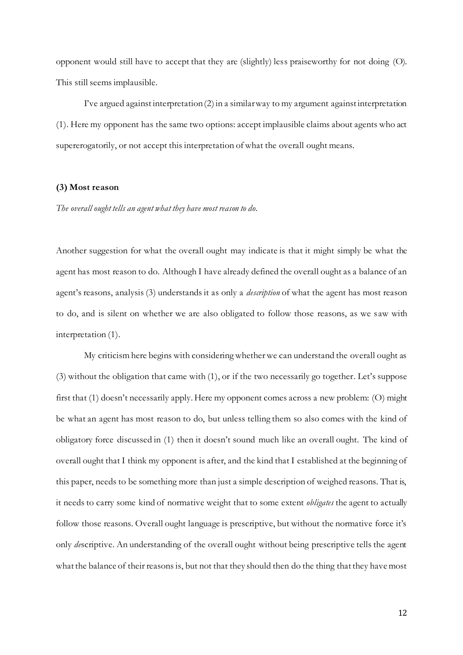opponent would still have to accept that they are (slightly) less praiseworthy for not doing (O). This still seems implausible.

I've argued against interpretation (2) in a similar way to my argument against interpretation (1). Here my opponent has the same two options: accept implausible claims about agents who act supererogatorily, or not accept this interpretation of what the overall ought means.

## **(3) Most reason**

*The overall ought tells an agent what they have most reason to do.*

Another suggestion for what the overall ought may indicate is that it might simply be what the agent has most reason to do. Although I have already defined the overall ought as a balance of an agent's reasons, analysis (3) understands it as only a *description* of what the agent has most reason to do, and is silent on whether we are also obligated to follow those reasons, as we saw with interpretation (1).

My criticism here begins with considering whether we can understand the overall ought as (3) without the obligation that came with (1), or if the two necessarily go together. Let's suppose first that (1) doesn't necessarily apply. Here my opponent comes across a new problem: (O) might be what an agent has most reason to do, but unless telling them so also comes with the kind of obligatory force discussed in (1) then it doesn't sound much like an overall ought. The kind of overall ought that I think my opponent is after, and the kind that I established at the beginning of this paper, needs to be something more than just a simple description of weighed reasons. That is, it needs to carry some kind of normative weight that to some extent *obligates* the agent to actually follow those reasons. Overall ought language is prescriptive, but without the normative force it's only *de*scriptive. An understanding of the overall ought without being prescriptive tells the agent what the balance of their reasons is, but not that they should then do the thing that they have most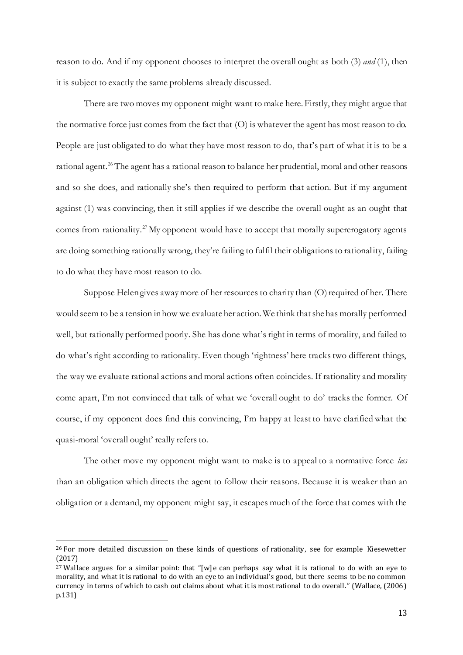reason to do. And if my opponent chooses to interpret the overall ought as both (3) *and* (1), then it is subject to exactly the same problems already discussed.

There are two moves my opponent might want to make here. Firstly, they might argue that the normative force just comes from the fact that (O) is whatever the agent has most reason to do. People are just obligated to do what they have most reason to do, that's part of what it is to be a rational agent.<sup>26</sup> The agent has a rational reason to balance her prudential, moral and other reasons and so she does, and rationally she's then required to perform that action. But if my argument against (1) was convincing, then it still applies if we describe the overall ought as an ought that comes from rationality.<sup>27</sup> My opponent would have to accept that morally supererogatory agents are doing something rationally wrong, they're failing to fulfil their obligations to rationality, failing to do what they have most reason to do.

Suppose Helen gives away more of her resources to charity than (O) required of her. There would seem to be a tension in how we evaluate her action. We think that she has morally performed well, but rationally performed poorly. She has done what's right in terms of morality, and failed to do what's right according to rationality. Even though 'rightness' here tracks two different things, the way we evaluate rational actions and moral actions often coincides. If rationality and morality come apart, I'm not convinced that talk of what we 'overall ought to do' tracks the former. Of course, if my opponent does find this convincing, I'm happy at least to have clarified what the quasi-moral 'overall ought' really refers to.

The other move my opponent might want to make is to appeal to a normative force *less* than an obligation which directs the agent to follow their reasons. Because it is weaker than an obligation or a demand, my opponent might say, it escapes much of the force that comes with the

<sup>26</sup> For more detailed discussion on these kinds of questions of rationality, see for example Kiesewetter (2017)

<sup>&</sup>lt;sup>27</sup> Wallace argues for a similar point: that "[w]e can perhaps say what it is rational to do with an eye to morality, and what it is rational to do with an eye to an individual's good, but there seems to be no common currency in terms of which to cash out claims about what it is most rational to do overall." (Wallace, (2006) p.131)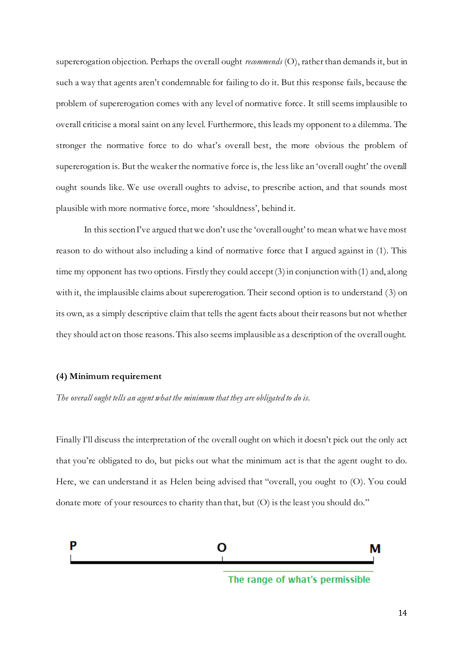supererogation objection. Perhaps the overall ought *recommends* (O), rather than demands it, but in such a way that agents aren't condemnable for failing to do it. But this response fails, because the problem of supererogation comes with any level of normative force. It still seems implausible to overall criticise a moral saint on any level. Furthermore, this leads my opponent to a dilemma. The stronger the normative force to do what's overall best, the more obvious the problem of supererogation is. But the weaker the normative force is, the less like an 'overall ought' the overall ought sounds like. We use overall oughts to advise, to prescribe action, and that sounds most plausible with more normative force, more 'shouldness', behind it.

In this section I've argued that we don't use the 'overall ought' to mean what we have most reason to do without also including a kind of normative force that I argued against in (1). This time my opponent has two options. Firstly they could accept (3) in conjunction with (1) and, along with it, the implausible claims about supererogation. Their second option is to understand (3) on its own, as a simply descriptive claim that tells the agent facts about their reasons but not whether they should act on those reasons. This also seems implausible as a description of the overall ought.

#### **(4) Minimum requirement**

*The overall ought tells an agent what the minimum that they are obligated to do is.*

Finally I'll discuss the interpretation of the overall ought on which it doesn't pick out the only act that you're obligated to do, but picks out what the minimum act is that the agent ought to do. Here, we can understand it as Helen being advised that "overall, you ought to (O). You could donate more of your resources to charity than that, but (O) is the least you should do."

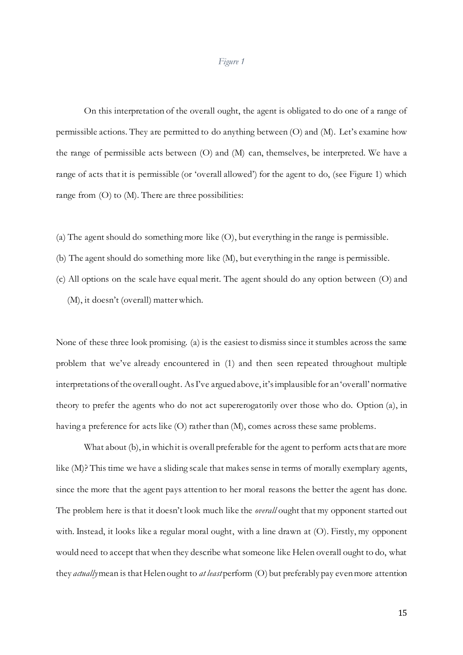#### *Figure 1*

On this interpretation of the overall ought, the agent is obligated to do one of a range of permissible actions. They are permitted to do anything between (O) and (M). Let's examine how the range of permissible acts between (O) and (M) can, themselves, be interpreted. We have a range of acts that it is permissible (or 'overall allowed') for the agent to do, (see Figure 1) which range from  $(O)$  to  $(M)$ . There are three possibilities:

- (a) The agent should do something more like (O), but everything in the range is permissible.
- (b) The agent should do something more like (M), but everything in the range is permissible.
- (c) All options on the scale have equal merit. The agent should do any option between (O) and (M), it doesn't (overall) matter which.

None of these three look promising. (a) is the easiest to dismiss since it stumbles across the same problem that we've already encountered in (1) and then seen repeated throughout multiple interpretations of the overall ought. As I've argued above, it's implausible for an 'overall' normative theory to prefer the agents who do not act supererogatorily over those who do. Option (a), in having a preference for acts like (O) rather than (M), comes across these same problems.

What about (b), in which it is overall preferable for the agent to perform acts that are more like (M)? This time we have a sliding scale that makes sense in terms of morally exemplary agents, since the more that the agent pays attention to her moral reasons the better the agent has done. The problem here is that it doesn't look much like the *overall* ought that my opponent started out with. Instead, it looks like a regular moral ought, with a line drawn at (O). Firstly, my opponent would need to accept that when they describe what someone like Helen overall ought to do, what they *actually*mean is that Helen ought to *at least* perform (O) but preferably pay even more attention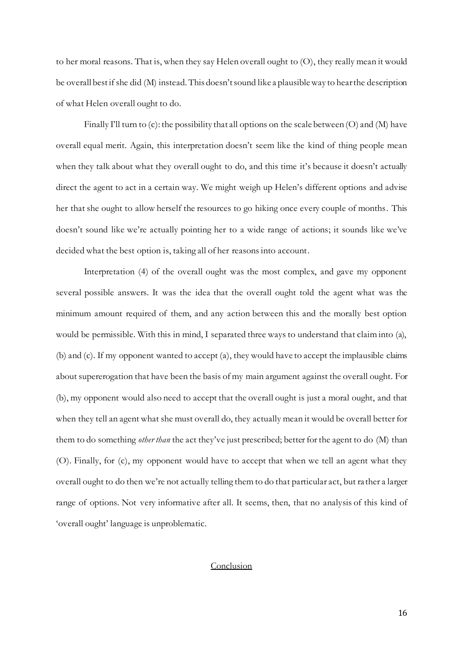to her moral reasons. That is, when they say Helen overall ought to (O), they really mean it would be overall best if she did (M) instead. This doesn't sound like a plausible way to hear the description of what Helen overall ought to do.

Finally I'll turn to (c): the possibility that all options on the scale between  $(O)$  and  $(M)$  have overall equal merit. Again, this interpretation doesn't seem like the kind of thing people mean when they talk about what they overall ought to do, and this time it's because it doesn't actually direct the agent to act in a certain way. We might weigh up Helen's different options and advise her that she ought to allow herself the resources to go hiking once every couple of months. This doesn't sound like we're actually pointing her to a wide range of actions; it sounds like we've decided what the best option is, taking all of her reasons into account.

Interpretation (4) of the overall ought was the most complex, and gave my opponent several possible answers. It was the idea that the overall ought told the agent what was the minimum amount required of them, and any action between this and the morally best option would be permissible. With this in mind, I separated three ways to understand that claim into (a), (b) and (c). If my opponent wanted to accept (a), they would have to accept the implausible claims about supererogation that have been the basis of my main argument against the overall ought. For (b), my opponent would also need to accept that the overall ought is just a moral ought, and that when they tell an agent what she must overall do, they actually mean it would be overall better for them to do something *other than* the act they've just prescribed; better for the agent to do (M) than (O). Finally, for (c), my opponent would have to accept that when we tell an agent what they overall ought to do then we're not actually telling them to do that particular act, but ra ther a larger range of options. Not very informative after all. It seems, then, that no analysis of this kind of 'overall ought' language is unproblematic.

## Conclusion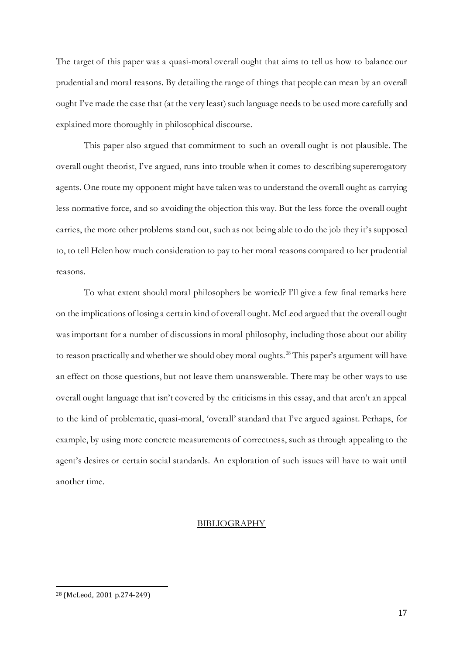The target of this paper was a quasi-moral overall ought that aims to tell us how to balance our prudential and moral reasons. By detailing the range of things that people can mean by an overall ought I've made the case that (at the very least) such language needs to be used more carefully and explained more thoroughly in philosophical discourse.

This paper also argued that commitment to such an overall ought is not plausible. The overall ought theorist, I've argued, runs into trouble when it comes to describing supererogatory agents. One route my opponent might have taken was to understand the overall ought as carrying less normative force, and so avoiding the objection this way. But the less force the overall ought carries, the more other problems stand out, such as not being able to do the job they it's supposed to, to tell Helen how much consideration to pay to her moral reasons compared to her prudential reasons.

To what extent should moral philosophers be worried? I'll give a few final remarks here on the implications of losing a certain kind of overall ought. McLeod argued that the overall ought was important for a number of discussions in moral philosophy, including those about our ability to reason practically and whether we should obey moral oughts.<sup>28</sup> This paper's argument will have an effect on those questions, but not leave them unanswerable. There may be other ways to use overall ought language that isn't covered by the criticisms in this essay, and that aren't an appeal to the kind of problematic, quasi-moral, 'overall' standard that I've argued against. Perhaps, for example, by using more concrete measurements of correctness, such as through appealing to the agent's desires or certain social standards. An exploration of such issues will have to wait until another time.

#### BIBLIOGRAPHY

<sup>28</sup> (McLeod, 2001 p.274-249)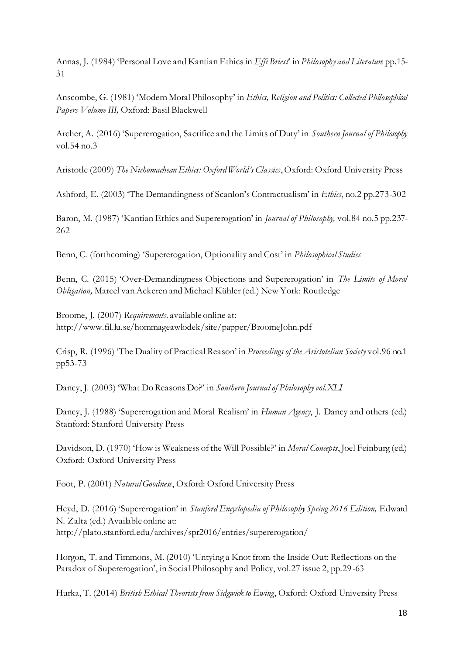Annas, J. (1984) 'Personal Love and Kantian Ethics in *Effi Briest*' in *Philosophy and Literature* pp.15- 31

Anscombe, G. (1981) 'Modern Moral Philosophy' in *Ethics, Religion and Politics: Collected Philosophical Papers Volume III,* Oxford: Basil Blackwell

Archer, A. (2016) 'Supererogation, Sacrifice and the Limits of Duty' in *Southern Journal of Philosophy* vol.54 no.3

Aristotle (2009) *The Nichomachean Ethics: Oxford World's Classics*, Oxford: Oxford University Press

Ashford, E. (2003) 'The Demandingness of Scanlon's Contractualism' in *Ethics*, no.2 pp.273-302

Baron, M. (1987) 'Kantian Ethics and Supererogation' in *Journal of Philosophy,* vol.84 no.5 pp.237- 262

Benn, C. (forthcoming) 'Supererogation, Optionality and Cost' in *Philosophical Studies*

Benn, C. (2015) 'Over-Demandingness Objections and Supererogation' in *The Limits of Moral Obligation,* Marcel van Ackeren and Michael Kühler (ed.) New York: Routledge

Broome, J. (2007) *Requirements,* available online at: http://www.fil.lu.se/hommageawlodek/site/papper/BroomeJohn.pdf

Crisp, R. (1996) 'The Duality of Practical Reason' in *Proceedings of the Aristotelian Society* vol.96 no.1 pp53-73

Dancy, J. (2003) 'What Do Reasons Do?' in *Southern Journal of Philosophy vol.XLI*

Dancy, J. (1988) 'Supererogation and Moral Realism' in *Human Agency*, J. Dancy and others (ed.) Stanford: Stanford University Press

Davidson, D. (1970) 'How is Weakness of the Will Possible?' in *Moral Concepts*, Joel Feinburg (ed.) Oxford: Oxford University Press

Foot, P. (2001) *Natural Goodness*, Oxford: Oxford University Press

Heyd, D. (2016) 'Supererogation' in *Stanford Encyclopedia of Philosophy Spring 2016 Edition*, Edward N. Zalta (ed.) Available online at: http://plato.stanford.edu/archives/spr2016/entries/supererogation/

Horgon, T. and Timmons, M. (2010) 'Untying a Knot from the Inside Out: Reflections on the Paradox of Supererogation', in Social Philosophy and Policy, vol.27 issue 2, pp.29-63

Hurka, T. (2014) *British Ethical Theorists from Sidgwick to Ewing*, Oxford: Oxford University Press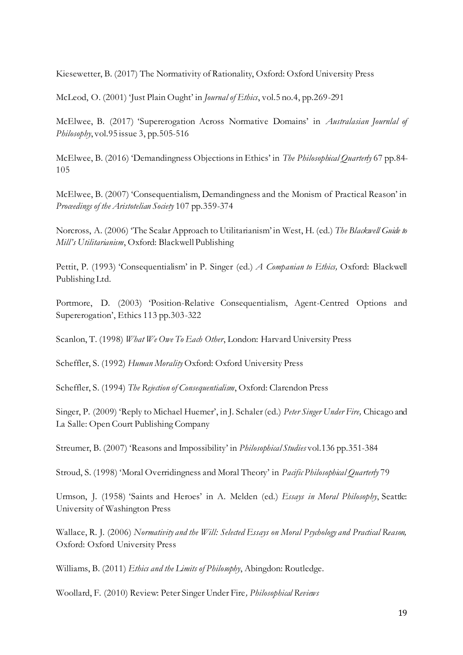Kiesewetter, B. (2017) The Normativity of Rationality, Oxford: Oxford University Press

McLeod, O. (2001) 'Just Plain Ought' in *Journal of Ethics*, vol.5 no.4, pp.269-291

McElwee, B. (2017) 'Supererogation Across Normative Domains' in *Australasian Journlal of Philosophy*, vol.95 issue 3, pp.505-516

McElwee, B. (2016) 'Demandingness Objections in Ethics' in *The Philosophical Quarterly* 67 pp.84- 105

McElwee, B. (2007) 'Consequentialism, Demandingness and the Monism of Practical Reason' in *Proceedings of the Aristotelian Society* 107 pp.359-374

Norcross, A. (2006) 'The Scalar Approach to Utilitarianism' in West, H. (ed.) *The Blackwell Guide to Mill's Utilitarianism*, Oxford: Blackwell Publishing

Pettit, P. (1993) 'Consequentialism' in P. Singer (ed.) *A Companian to Ethics,* Oxford: Blackwell Publishing Ltd.

Portmore, D. (2003) 'Position-Relative Consequentialism, Agent-Centred Options and Supererogation', Ethics 113 pp.303-322

Scanlon, T. (1998) *What We Owe To Each Other*, London: Harvard University Press

Scheffler, S. (1992) *Human Morality* Oxford: Oxford University Press

Scheffler, S. (1994) *The Rejection of Consequentialism*, Oxford: Clarendon Press

Singer, P. (2009) 'Reply to Michael Huemer', in J. Schaler (ed.) *Peter Singer Under Fire,* Chicago and La Salle: Open Court Publishing Company

Streumer, B. (2007) 'Reasons and Impossibility' in *Philosophical Studies* vol.136 pp.351-384

Stroud, S. (1998) 'Moral Overridingness and Moral Theory' in *Pacific Philosophical Quarterly* 79

Urmson, J. (1958) 'Saints and Heroes' in A. Melden (ed.) *Essays in Moral Philosophy*, Seattle: University of Washington Press

Wallace, R. J. (2006) *Normativity and the Will: Selected Essays on Moral Psychology and Practical Reason,*  Oxford: Oxford University Press

Williams, B. (2011) *Ethics and the Limits of Philosophy*, Abingdon: Routledge.

Woollard, F. (2010) Review: Peter Singer Under Fire*, Philosophical Reviews*